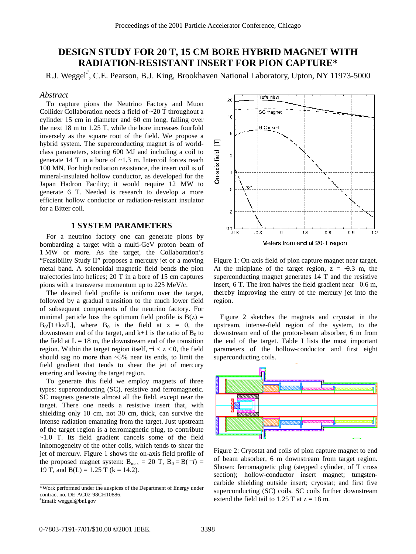# **DESIGN STUDY FOR 20 T, 15 CM BORE HYBRID MAGNET WITH RADIATION-RESISTANT INSERT FOR PION CAPTURE\***

R.J. Weggel<sup>#</sup>, C.E. Pearson, B.J. King, Brookhaven National Laboratory, Upton, NY 11973-5000

#### *Abstract*

To capture pions the Neutrino Factory and Muon Collider Collaboration needs a field of ~20 T throughout a cylinder 15 cm in diameter and 60 cm long, falling over the next 18 m to 1.25 T, while the bore increases fourfold inversely as the square root of the field. We propose a hybrid system. The superconducting magnet is of worldclass parameters, storing 600 MJ and including a coil to generate 14 T in a bore of ~1.3 m. Intercoil forces reach 100 MN. For high radiation resistance, the insert coil is of mineral-insulated hollow conductor, as developed for the Japan Hadron Facility; it would require 12 MW to generate 6 T. Needed is research to develop a more efficient hollow conductor or radiation-resistant insulator for a Bitter coil.

## **1 SYSTEM PARAMETERS**

For a neutrino factory one can generate pions by bombarding a target with a multi-GeV proton beam of 1 MW or more. As the target, the Collaboration's "Feasibility Study II" proposes a mercury jet or a moving metal band. A solenoidal magnetic field bends the pion trajectories into helices; 20 T in a bore of 15 cm captures pions with a transverse momentum up to 225 MeV/c.

The desired field profile is uniform over the target, followed by a gradual transition to the much lower field of subsequent components of the neutrino factory. For minimal particle loss the optimum field profile is  $B(z) =$  $B_0/[1+kz/L]$ , where  $B_0$  is the field at  $z = 0$ , the downstream end of the target, and  $k+1$  is the ratio of  $B_0$  to the field at  $L = 18$  m, the downstream end of the transition region. Within the target region itself,  $-l < z < 0$ , the field should sag no more than ~5% near its ends, to limit the field gradient that tends to shear the jet of mercury entering and leaving the target region.

To generate this field we employ magnets of three types: superconducting (SC), resistive and ferromagnetic. SC magnets generate almost all the field, except near the target. There one needs a resistive insert that, with shielding only 10 cm, not 30 cm, thick, can survive the intense radiation emanating from the target. Just upstream of the target region is a ferromagnetic plug, to contribute ~1.0 T. Its field gradient cancels some of the field inhomogeneity of the other coils, which tends to shear the jet of mercury. Figure 1 shows the on-axis field profile of the proposed magnet system:  $B_{max} = 20$  T,  $B_0 = B(-l)$ 19 T, and B(L) = 1.25 T ( $k = 14.2$ ).

\_\_\_\_\_\_\_\_\_\_\_\_\_\_\_\_\_\_\_\_\_\_\_\_\_\_\_\_\_\_\_\_\_\_\_\_\_\_\_\_\_\_\_



Figure 1: On-axis field of pion capture magnet near target. At the midplane of the target region,  $z = -0.3$  m, the superconducting magnet generates 14 T and the resistive insert, 6 T. The iron halves the field gradient near –0.6 m, thereby improving the entry of the mercury jet into the region.

Figure 2 sketches the magnets and cryostat in the upstream, intense-field region of the system, to the downstream end of the proton-beam absorber, 6 m from the end of the target. Table I lists the most important parameters of the hollow-conductor and first eight superconducting coils.



Figure 2: Cryostat and coils of pion capture magnet to end of beam absorber, 6 m downstream from target region. Shown: ferromagnetic plug (stepped cylinder, of T cross section); hollow-conductor insert magnet; tungstencarbide shielding outside insert; cryostat; and first five superconducting (SC) coils. SC coils further downstream extend the field tail to 1.25 T at  $z = 18$  m.

<sup>\*</sup>Work performed under the auspices of the Department of Energy under contract no. DE-AC02-98CH10886.

<sup>#</sup> Email: weggel@bnl.gov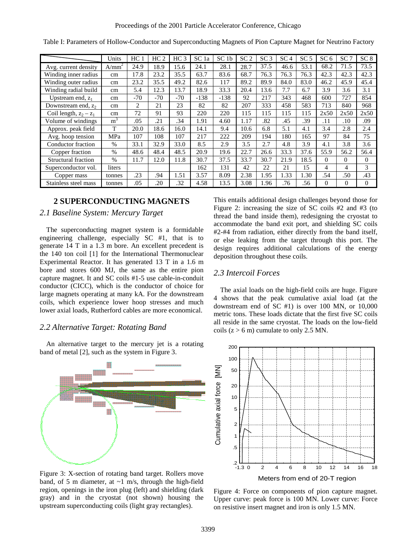|                          | Units             | HC <sub>1</sub> | HC <sub>2</sub> | HC <sub>3</sub> | SC <sub>1a</sub> | SC <sub>1b</sub> | SC <sub>2</sub> | SC <sub>3</sub> | SC <sub>4</sub> | SC <sub>5</sub> | SC <sub>6</sub> | SC <sub>7</sub> | SC <sub>8</sub> |
|--------------------------|-------------------|-----------------|-----------------|-----------------|------------------|------------------|-----------------|-----------------|-----------------|-----------------|-----------------|-----------------|-----------------|
| Avg. current density     | A/mm <sup>2</sup> | 24.9            | 18.9            | 15.6            | 24.1             | 28.1             | 28.7            | 37.5            | 46.6            | 53.1            | 68.2            | 71.5            | 73.5            |
| Winding inner radius     | cm                | 17.8            | 23.2            | 35.5            | 63.7             | 83.6             | 68.7            | 76.3            | 76.3            | 76.3            | 42.3            | 42.3            | 42.3            |
| Winding outer radius     | cm                | 23.2            | 35.5            | 49.2            | 82.6             | 117              | 89.2            | 89.9            | 84.0            | 83.0            | 46.2            | 45.9            | 45.4            |
| Winding radial build     | cm                | 5.4             | 12.3            | 13.7            | 18.9             | 33.3             | 20.4            | 13.6            | 7.7             | 6.7             | 3.9             | 3.6             | 3.1             |
| Upstream end, $z_1$      | cm                | $-70$           | $-70$           | $-70$           | $-138$           | $-138$           | 92              | 217             | 343             | 468             | 600             | 727             | 854             |
| Downstream end, $z_2$    | cm                | 2               | 21              | 23              | 82               | 82               | 207             | 333             | 458             | 583             | 713             | 840             | 968             |
| Coil length, $z_2 - z_1$ | cm                | 72              | 91              | 93              | 220              | 220              | 115             | 115             | 115             | 115             | 2x50            | 2x50            | 2x50            |
| Volume of windings       | m <sup>3</sup>    | .05             | .21             | .34             | 1.91             | 4.60             | 1.17            | .82             | .45             | .39             | .11             | .10             | .09             |
| Approx. peak field       | T                 | 20.0            | 18.6            | 16.0            | 14.1             | 9.4              | 10.6            | 6.8             | 5.1             | 4.1             | 3.4             | 2.8             | 2.4             |
| Avg. hoop tension        | MPa               | 107             | 108             | 107             | 217              | 222              | 209             | 194             | 180             | 165             | 97              | 84              | 75              |
| Conductor fraction       | $\%$              | 33.1            | 32.9            | 33.0            | 8.5              | 2.9              | 3.5             | 2.7             | 4.8             | 3.9             | 4.1             | 3.8             | 3.6             |
| Copper fraction          | $\%$              | 48.6            | 48.4            | 48.5            | 20.9             | 19.6             | 22.7            | 26.6            | 33.3            | 37.6            | 55.9            | 56.2            | 56.4            |
| Structural fraction      | $\%$              | 11.7            | 12.0            | 11.8            | 30.7             | 37.5             | 33.7            | 30.7            | 21.9            | 18.5            | $\Omega$        | $\Omega$        | $\Omega$        |
| Superconductor vol.      | liters            |                 |                 |                 | 162              | 131              | 42              | 22              | 21              | 15              | $\overline{4}$  | 4               | 3               |
| Copper mass              | tonnes            | .23             | .94             | 1.51            | 3.57             | 8.09             | 2.38            | 1.95            | 1.33            | 1.30            | .54             | .50             | .43             |
| Stainless steel mass     | tonnes            | .05             | .20             | .32             | 4.58             | 13.5             | 3.08            | 1.96            | .76             | .56             | $\Omega$        | $\theta$        | $\Omega$        |

Table I: Parameters of Hollow-Conductor and Superconducting Magnets of Pion Capture Magnet for Neutrino Factory

## **2 SUPERCONDUCTING MAGNETS**

## *2.1 Baseline System: Mercury Target*

The superconducting magnet system is a formidable engineering challenge, especially SC #1, that is to generate 14 T in a 1.3 m bore. An excellent precedent is the 140 ton coil [1] for the International Thermonuclear Experimental Reactor. It has generated 13 T in a 1.6 m bore and stores 600 MJ, the same as the entire pion capture magnet. It and SC coils #1-5 use cable-in-conduit conductor (CICC), which is the conductor of choice for large magnets operating at many kA. For the downstream coils, which experience lower hoop stresses and much lower axial loads, Rutherford cables are more economical.

## *2.2 Alternative Target: Rotating Band*

An alternative target to the mercury jet is a rotating band of metal [2], such as the system in Figure 3.



Figure 3: X-section of rotating band target. Rollers move band, of 5 m diameter, at  $\sim$ 1 m/s, through the high-field region, openings in the iron plug (left) and shielding (dark gray) and in the cryostat (not shown) housing the upstream superconducting coils (light gray rectangles).

This entails additional design challenges beyond those for Figure 2: increasing the size of SC coils #2 and #3 (to thread the band inside them), redesigning the cryostat to accommodate the band exit port, and shielding SC coils #2-#4 from radiation, either directly from the band itself, or else leaking from the target through this port. The design requires additional calculations of the energy deposition throughout these coils.

#### *2.3 Intercoil Forces*

The axial loads on the high-field coils are huge. Figure 4 shows that the peak cumulative axial load (at the downstream end of SC #1) is over 100 MN, or 10,000 metric tons. These loads dictate that the first five SC coils all reside in the same cryostat. The loads on the low-field coils  $(z > 6$  m) cumulate to only 2.5 MN.



Figure 4: Force on components of pion capture magnet. Upper curve: peak force is 100 MN. Lower curve: Force on resistive insert magnet and iron is only 1.5 MN.